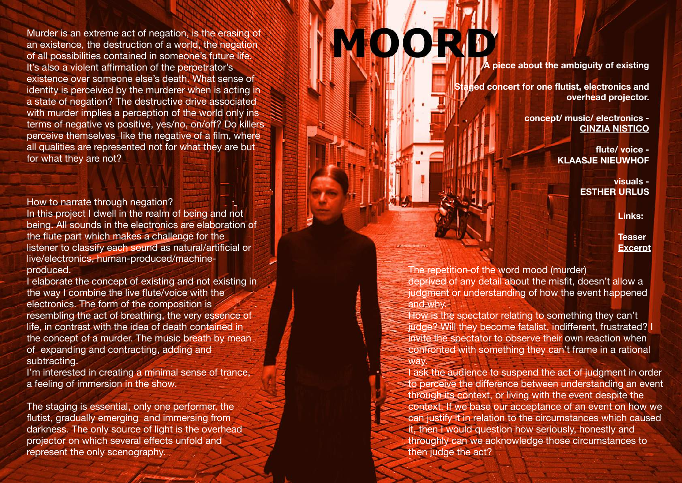Murder is an extreme act of negation, is the erasing of an existence, the destruction of a world, the negation of all possibilities contained in someone's future life. It's also a violent a ffirmation of the perpetrator's existence over someone else's death. What sense of identity is perceived by the murderer when is acting in a state of negation? The destructive drive associated with murder implies a perception of the world only ins terms of negative vs positive, yes/no, on/o ff? Do killers perceive themselves like the negative of a film, where all qualities are represented not for what they are but for what they are not?

How to narrate through negation? In this project I dwell in the realm of being and not being. All sounds in the electronics are elaboration of the flute part which makes a challenge for the listener to classify each sound as natural/artificial or live/electronics, human-produced/machineproduced.

I elaborate the concept of existing and not existing in the way I combine the live flute/voice with the electronics. The form of the composition is resembling the act of breathing, the very essence of life, in contrast with the idea of death contained in the concept of a murder. The music breath by mean of expanding and contracting, adding and subtracting.

I'm interested in creating a minimal sense of trance, a feeling of immersion in the show.

The staging is essential, only one performer, the flutist, gradually emerging and immersing from darkness. The only source of light is the overhead projector on which several e ffects unfold and represent the only scenography.

## **OOO**

**A piece about the ambiguity of existing** 

**Staged concert for one flutist, electronics and overhead projector.** 

> **concept/ music/ electronics - [CINZIA NISTICO](https://cinzia-nistico.com/)**

> > **flute/ voice - KLAASJE NIEUWHOF**

> > > **visuals - [ESTHER URLUS](https://estherurlus.hotglue.me/)**

> > > > **Links:**

**[Teaser](https://youtu.be/oFhrlfYExEI) [Excerpt](https://soundcloud.com/cinzia-nistico/moord-excerpt-cinzia-nistico)**

The repetition of the word mood (murder) deprived of any detail about the misfit, doesn't allow a judgment or understanding of how the event happened and why.

How is the spectator relating to something they can't judge? Will they become fatalist, indifferent, frustrated? I invite the spectator to observe their own reaction when confronted with something they can't frame in a rational way.

I ask the audience to suspend the act of judgment in order to perceive the di fference between understanding an event through its context, or living with the event despite the context. If we base our acceptance of an event on how we can justify it in relation to the circumstances which caused it, then I would question how seriously, honestly and throughly can we acknowledge those circumstances to then judge the act?